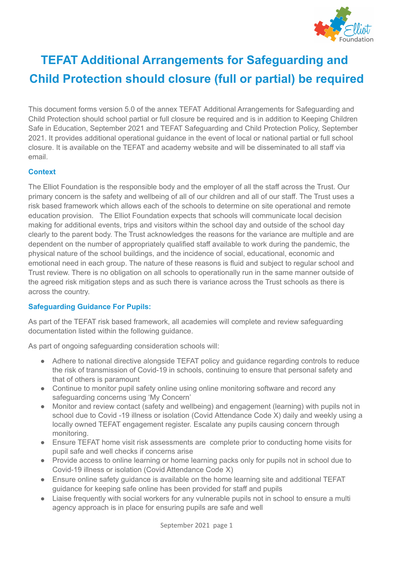

# **TEFAT Additional Arrangements for Safeguarding and Child Protection should closure (full or partial) be required**

This document forms version 5.0 of the annex TEFAT Additional Arrangements for Safeguarding and Child Protection should school partial or full closure be required and is in addition to Keeping Children Safe in Education, September 2021 and TEFAT Safeguarding and Child Protection Policy, September 2021. It provides additional operational guidance in the event of local or national partial or full school closure. It is available on the TEFAT and academy website and will be disseminated to all staff via email.

### **Context**

The Elliot Foundation is the responsible body and the employer of all the staff across the Trust. Our primary concern is the safety and wellbeing of all of our children and all of our staff. The Trust uses a risk based framework which allows each of the schools to determine on site operational and remote education provision. The Elliot Foundation expects that schools will communicate local decision making for additional events, trips and visitors within the school day and outside of the school day clearly to the parent body. The Trust acknowledges the reasons for the variance are multiple and are dependent on the number of appropriately qualified staff available to work during the pandemic, the physical nature of the school buildings, and the incidence of social, educational, economic and emotional need in each group. The nature of these reasons is fluid and subject to regular school and Trust review. There is no obligation on all schools to operationally run in the same manner outside of the agreed risk mitigation steps and as such there is variance across the Trust schools as there is across the country.

### **Safeguarding Guidance For Pupils:**

As part of the TEFAT risk based framework, all academies will complete and review safeguarding documentation listed within the following guidance.

As part of ongoing safeguarding consideration schools will:

- Adhere to national directive alongside TEFAT policy and quidance regarding controls to reduce the risk of transmission of Covid-19 in schools, continuing to ensure that personal safety and that of others is paramount
- Continue to monitor pupil safety online using online monitoring software and record any safeguarding concerns using 'My Concern'
- Monitor and review contact (safety and wellbeing) and engagement (learning) with pupils not in school due to Covid -19 illness or isolation (Covid Attendance Code X) daily and weekly using a locally owned TEFAT engagement register. Escalate any pupils causing concern through monitoring.
- Ensure TEFAT home visit risk assessments are complete prior to conducting home visits for pupil safe and well checks if concerns arise
- Provide access to online learning or home learning packs only for pupils not in school due to Covid-19 illness or isolation (Covid Attendance Code X)
- Ensure online safety guidance is available on the home learning site and additional TEFAT guidance for keeping safe online has been provided for staff and pupils
- Liaise frequently with social workers for any vulnerable pupils not in school to ensure a multi agency approach is in place for ensuring pupils are safe and well